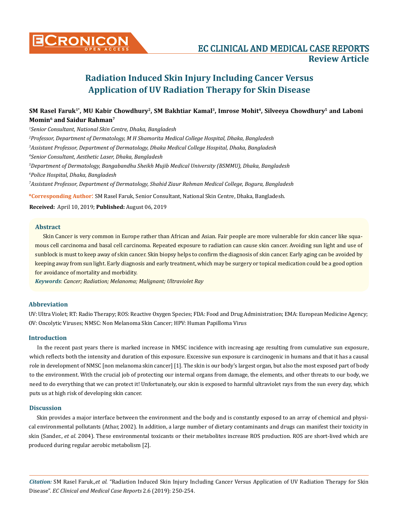

# **Radiation Induced Skin Injury Including Cancer Versus Application of UV Radiation Therapy for Skin Disease**

# SM Rasel Faruk<sup>1\*</sup>, MU Kabir Chowdhury<sup>2</sup>, SM Bakhtiar Kamal<sup>3</sup>, Imrose Mohit<sup>4</sup>, Silveeya Chowdhury<sup>5</sup> and Laboni **Momin6 and Saidur Rahman7**

**\*Corresponding Author**: SM Rasel Faruk, Senior Consultant, National Skin Centre, Dhaka, Bangladesh. *Senior Consultant, National Skin Centre, Dhaka, Bangladesh Professor, Department of Dermatology, M H Shamorita Medical College Hospital, Dhaka, Bangladesh Assistant Professor, Department of Dermatology, Dhaka Medical College Hospital, Dhaka, Bangladesh Senior Consultant, Aesthetic Laser, Dhaka, Bangladesh Department of Dermatology, Bangabandhu Sheikh Mujib Medical University (BSMMU), Dhaka, Bangladesh Police Hospital, Dhaka, Bangladesh Assistant Professor, Department of Dermatology, Shahid Ziaur Rahman Medical College, Bogura, Bangladesh*

**Received:** April 10, 2019; **Published:** August 06, 2019

# **Abstract**

Skin Cancer is very common in Europe rather than African and Asian. Fair people are more vulnerable for skin cancer like squamous cell carcinoma and basal cell carcinoma. Repeated exposure to radiation can cause skin cancer. Avoiding sun light and use of sunblock is must to keep away of skin cancer. Skin biopsy helps to confirm the diagnosis of skin cancer. Early aging can be avoided by keeping away from sun light. Early diagnosis and early treatment, which may be surgery or topical medication could be a good option for avoidance of mortality and morbidity.

*Keywords*: *Cancer; Radiation; Melanoma; Malignant; Ultraviolet Ray*

# **Abbreviation**

UV: Ultra Violet; RT: Radio Therapy; ROS: Reactive Oxygen Species; FDA: Food and Drug Administration; EMA: European Medicine Agency; OV: Oncolytic Viruses; NMSC: Non Melanoma Skin Cancer; HPV: Human Papilloma Virus

# **Introduction**

In the recent past years there is marked increase in NMSC incidence with increasing age resulting from cumulative sun exposure, which reflects both the intensity and duration of this exposure. Excessive sun exposure is carcinogenic in humans and that it has a causal role in development of NMSC [non melanoma skin cancer] [1]. The skin is our body's largest organ, but also the most exposed part of body to the environment. With the crucial job of protecting our internal organs from damage, the elements, and other threats to our body, we need to do everything that we can protect it! Unfortunately, our skin is exposed to harmful ultraviolet rays from the sun every day, which puts us at high risk of developing skin cancer.

## **Discussion**

Skin provides a major interface between the environment and the body and is constantly exposed to an array of chemical and physical environmental pollutants (Athar, 2002). In addition, a large number of dietary contaminants and drugs can manifest their toxicity in skin (Sander., *et al*. 2004). These environmental toxicants or their metabolites increase ROS production. ROS are short-lived which are produced during regular aerobic metabolism [2].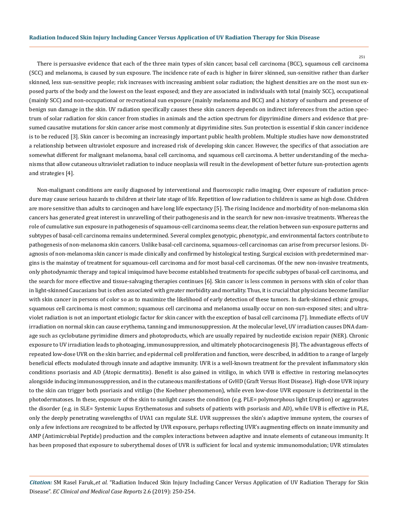$251$ 

There is persuasive evidence that each of the three main types of skin cancer, basal cell carcinoma (BCC), squamous cell carcinoma (SCC) and melanoma, is caused by sun exposure. The incidence rate of each is higher in fairer skinned, sun-sensitive rather than darker skinned, less sun-sensitive people; risk increases with increasing ambient solar radiation; the highest densities are on the most sun exposed parts of the body and the lowest on the least exposed; and they are associated in individuals with total (mainly SCC), occupational (mainly SCC) and non-occupational or recreational sun exposure (mainly melanoma and BCC) and a history of sunburn and presence of benign sun damage in the skin. UV radiation specifically causes these skin cancers depends on indirect inferences from the action spectrum of solar radiation for skin cancer from studies in animals and the action spectrum for dipyrimidine dimers and evidence that presumed causative mutations for skin cancer arise most commonly at dipyrimidine sites. Sun protection is essential if skin cancer incidence is to be reduced [3]. Skin cancer is becoming an increasingly important public health problem. Multiple studies have now demonstrated a relationship between ultraviolet exposure and increased risk of developing skin cancer. However, the specifics of that association are somewhat different for malignant melanoma, basal cell carcinoma, and squamous cell carcinoma. A better understanding of the mechanisms that allow cutaneous ultraviolet radiation to induce neoplasia will result in the development of better future sun-protection agents and strategies [4].

Non-malignant conditions are easily diagnosed by interventional and fluoroscopic radio imaging. Over exposure of radiation procedure may cause serious hazards to children at their late stage of life. Repetition of low radiation to children is same as high dose. Children are more sensitive than adults to carcinogen and have long life expectancy [5]. The rising Incidence and morbidity of non-melanoma skin cancers has generated great interest in unravelling of their pathogenesis and in the search for new non-invasive treatments. Whereas the role of cumulative sun exposure in pathogenesis of squamous-cell carcinoma seems clear, the relation between sun-exposure patterns and subtypes of basal-cell carcinoma remains undetermined. Several complex genotypic, phenotypic, and environmental factors contribute to pathogenesis of non-melanoma skin cancers. Unlike basal-cell carcinoma, squamous-cell carcinomas can arise from precursor lesions. Diagnosis of non-melanoma skin cancer is made clinically and confirmed by histological testing. Surgical excision with predetermined margins is the mainstay of treatment for squamous-cell carcinoma and for most basal-cell carcinomas. Of the new non-invasive treatments, only photodynamic therapy and topical imiquimod have become established treatments for specific subtypes of basal-cell carcinoma, and the search for more effective and tissue-salvaging therapies continues [6]. Skin cancer is less common in persons with skin of color than in light-skinned Caucasians but is often associated with greater morbidity and mortality. Thus, it is crucial that physicians become familiar with skin cancer in persons of color so as to maximize the likelihood of early detection of these tumors. In dark-skinned ethnic groups, squamous cell carcinoma is most common; squamous cell carcinoma and melanoma usually occur on non-sun-exposed sites; and ultraviolet radiation is not an important etiologic factor for skin cancer with the exception of basal cell carcinoma [7]. Immediate effects of UV irradiation on normal skin can cause erythema, tanning and immunosuppression. At the molecular level, UV irradiation causes DNA damage such as cyclobutane pyrimidine dimers and photoproducts, which are usually repaired by nucleotide excision repair (NER). Chronic exposure to UV irradiation leads to photoaging, immunosuppression, and ultimately photocarcinogenesis [8]. The advantageous effects of repeated low-dose UVR on the skin barrier, and epidermal cell proliferation and function, were described, in addition to a range of largely beneficial effects modulated through innate and adaptive immunity. UVR is a well-known treatment for the prevalent inflammatory skin conditions psoriasis and AD (Atopic dermatitis). Benefit is also gained in vitiligo, in which UVB is effective in restoring melanocytes alongside inducing immunosuppression, and in the cutaneous manifestations of GvHD (Graft Versus Host Disease). High-dose UVR injury to the skin can trigger both psoriasis and vitiligo (the Koebner phenomenon), while even low-dose UVR exposure is detrimental in the photodermatoses. In these, exposure of the skin to sunlight causes the condition (e.g. PLE= polymorphous light Eruption) or aggravates the disorder (e.g. in SLE= Systemic Lupus Erythematosus and subsets of patients with psoriasis and AD), while UVB is effective in PLE, only the deeply penetrating wavelengths of UVA1 can regulate SLE. UVR suppresses the skin's adaptive immune system, the courses of only a few infections are recognized to be affected by UVR exposure, perhaps reflecting UVR's augmenting effects on innate immunity and AMP (Antimicrobial Peptide) production and the complex interactions between adaptive and innate elements of cutaneous immunity. It has been proposed that exposure to suberythemal doses of UVR is sufficient for local and systemic immunomodulation; UVR stimulates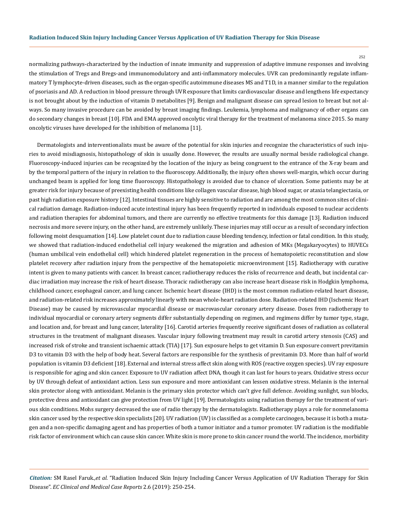252

normalizing pathways-characterized by the induction of innate immunity and suppression of adaptive immune responses and involving the stimulation of Tregs and Bregs-and immunomodulatory and anti-inflammatory molecules. UVR can predominantly regulate inflammatory T lymphocyte-driven diseases, such as the organ-specific autoimmune diseases MS and T1D, in a manner similar to the regulation of psoriasis and AD. A reduction in blood pressure through UVR exposure that limits cardiovascular disease and lengthens life expectancy is not brought about by the induction of vitamin D metabolites [9]. Benign and malignant disease can spread lesion to breast but not always. So many invasive procedure can be avoided by breast imaging findings. Leukemia, lymphoma and malignancy of other organs can do secondary changes in breast [10]. FDA and EMA approved oncolytic viral therapy for the treatment of melanoma since 2015. So many oncolytic viruses have developed for the inhibition of melanoma [11].

Dermatologists and interventionalists must be aware of the potential for skin injuries and recognize the characteristics of such injuries to avoid misdiagnosis, histopathology of skin is usually done. However, the results are usually normal beside radiological change. Fluoroscopy-induced injuries can be recognized by the location of the injury as being congruent to the entrance of the X-ray beam and by the temporal pattern of the injury in relation to the fluoroscopy. Additionally, the injury often shows well-margin, which occur during unchanged beam is applied for long time fluoroscopy. Histopathology is avoided due to chance of ulceration. Some patients may be at greater risk for injury because of preexisting health conditions like collagen vascular disease, high blood sugar, or ataxia telangiectasia, or past high radiation exposure history [12]. Intestinal tissues are highly sensitive to radiation and are among the most common sites of clinical radiation damage. Radiation-induced acute intestinal injury has been frequently reported in individuals exposed to nuclear accidents and radiation therapies for abdominal tumors, and there are currently no effective treatments for this damage [13]. Radiation induced necrosis and more severe injury, on the other hand, are extremely unlikely. These injuries may still occur as a result of secondary infection following moist desquamation [14]. Low platelet count due to radiation cause bleeding tendency, infection or fatal condition. In this study, we showed that radiation-induced endothelial cell injury weakened the migration and adhesion of MKs (Megakaryocytes) to HUVECs (human umbilical vein endothelial cell) which hindered platelet regeneration in the process of hematopoietic reconstitution and slow platelet recovery after radiation injury from the perspective of the hematopoietic microenvironment [15]. Radiotherapy with curative intent is given to many patients with cancer. In breast cancer, radiotherapy reduces the risks of recurrence and death, but incidental cardiac irradiation may increase the risk of heart disease. Thoracic radiotherapy can also increase heart disease risk in Hodgkin lymphoma, childhood cancer, esophageal cancer, and lung cancer. Ischemic heart disease (IHD) is the most common radiation-related heart disease, and radiation-related risk increases approximately linearly with mean whole-heart radiation dose. Radiation-related IHD (Ischemic Heart Disease) may be caused by microvascular myocardial disease or macrovascular coronary artery disease. Doses from radiotherapy to individual myocardial or coronary artery segments differ substantially depending on regimen, and regimens differ by tumor type, stage, and location and, for breast and lung cancer, laterality [16]. Carotid arteries frequently receive significant doses of radiation as collateral structures in the treatment of malignant diseases. Vascular injury following treatment may result in carotid artery stenosis (CAS) and increased risk of stroke and transient ischaemic attack (TIA) [17]. Sun exposure helps to get vitamin D. Sun exposure convert previtamin D3 to vitamin D3 with the help of body heat. Several factors are responsible for the synthesis of previtamin D3. More than half of world population is vitamin D3 deficient [18]. External and internal stress affect skin along with ROS (reactive oxygen species). UV ray exposure is responsible for aging and skin cancer. Exposure to UV radiation affect DNA, though it can last for hours to years. Oxidative stress occur by UV through defeat of antioxidant action. Less sun exposure and more antioxidant can lessen oxidative stress. Melanin is the internal skin protector along with antioxidant. Melanin is the primary skin protector which can't give full defence. Avoiding sunlight, sun blocks, protective dress and antioxidant can give protection from UV light [19]. Dermatologists using radiation therapy for the treatment of various skin conditions. Mohs surgery decreased the use of radio therapy by the dermatologists. Radiotherapy plays a role for nonmelanoma skin cancer used by the respective skin specialists [20]. UV radiation (UV) is classified as a complete carcinogen, because it is both a mutagen and a non-specific damaging agent and has properties of both a tumor initiator and a tumor promoter. UV radiation is the modifiable risk factor of environment which can cause skin cancer. White skin is more prone to skin cancer round the world. The incidence, morbidity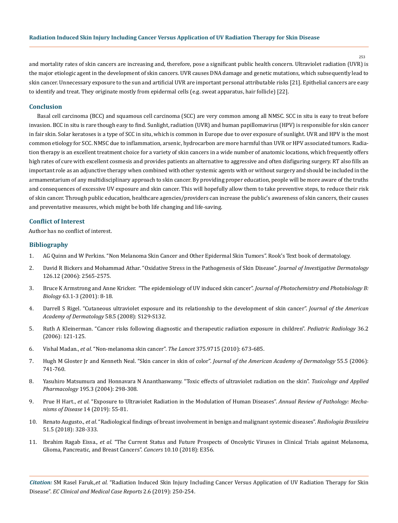#### **Radiation Induced Skin Injury Including Cancer Versus Application of UV Radiation Therapy for Skin Disease**

253

and mortality rates of skin cancers are increasing and, therefore, pose a significant public health concern. Ultraviolet radiation (UVR) is the major etiologic agent in the development of skin cancers. UVR causes DNA damage and genetic mutations, which subsequently lead to skin cancer. Unnecessary exposure to the sun and artificial UVR are important personal attributable risks [21]. Epithelial cancers are easy to identify and treat. They originate mostly from epidermal cells (e.g. sweat apparatus, hair follicle) [22].

# **Conclusion**

Basal cell carcinoma (BCC) and squamous cell carcinoma (SCC) are very common among all NMSC. SCC in situ is easy to treat before invasion. BCC in situ is rare though easy to find. Sunlight, radiation (UVR) and human papillomavirus (HPV) is responsible for skin cancer in fair skin. Solar keratoses is a type of SCC in situ, which is common in Europe due to over exposure of sunlight. UVR and HPV is the most common etiology for SCC. NMSC due to inflammation, arsenic, hydrocarbon are more harmful than UVR or HPV associated tumors. Radiation therapy is an excellent treatment choice for a variety of skin cancers in a wide number of anatomic locations, which frequently offers high rates of cure with excellent cosmesis and provides patients an alternative to aggressive and often disfiguring surgery. RT also fills an important role as an adjunctive therapy when combined with other systemic agents with or without surgery and should be included in the armamentarium of any multidisciplinary approach to skin cancer. By providing proper education, people will be more aware of the truths and consequences of excessive UV exposure and skin cancer. This will hopefully allow them to take preventive steps, to reduce their risk of skin cancer. Through public education, healthcare agencies/providers can increase the public's awareness of skin cancers, their causes and preventative measures, which might be both life changing and life-saving.

#### **Conflict of Interest**

Author has no conflict of interest.

## **Bibliography**

- 1. AG Quinn and W Perkins. "Non Melanoma Skin Cancer and Other Epidermal Skin Tumors". Rook's Text book of dermatology.
- 2. [David R Bickers and Mohammad Athar. "Oxidative Stress in the Pathogenesis of Skin Disease".](https://www.ncbi.nlm.nih.gov/pubmed/17108903) *Journal of Investigative Dermatology* [126.12 \(2006\): 2565-2575.](https://www.ncbi.nlm.nih.gov/pubmed/17108903)
- 3. [Bruce K Armstrong and Anne Kricker. "The epidemiology of UV induced skin cancer".](https://www.ncbi.nlm.nih.gov/pubmed/11684447) *Journal of Photochemistry and Photobiology B: Biology* [63.1-3 \(2001\): 8-18.](https://www.ncbi.nlm.nih.gov/pubmed/11684447)
- 4. [Darrell S Rigel. "Cutaneous ultraviolet exposure and its relationship to the development of skin cancer".](https://www.ncbi.nlm.nih.gov/pubmed/18410798) *Journal of the American [Academy of Dermatology](https://www.ncbi.nlm.nih.gov/pubmed/18410798)* 58.5 (2008): S129-S132.
- 5. [Ruth A Kleinerman. "Cancer risks following diagnostic and therapeutic radiation exposure in children".](https://www.ncbi.nlm.nih.gov/pmc/articles/PMC2663653/) *Pediatric Radiology* 36.2 [\(2006\): 121-125.](https://www.ncbi.nlm.nih.gov/pmc/articles/PMC2663653/)
- 6. Vishal Madan., *et al*[. "Non-melanoma skin cancer".](https://www.ncbi.nlm.nih.gov/pubmed/20171403) *The Lancet* 375.9715 (2010): 673-685.
- 7. [Hugh M Gloster Jr and Kenneth Neal. "Skin cancer in skin of color".](https://www.ncbi.nlm.nih.gov/pubmed/17052479) *Journal of the American Academy of Dermatology* 55.5 (2006): [741-760.](https://www.ncbi.nlm.nih.gov/pubmed/17052479)
- 8. [Yasuhiro Matsumura and Honnavara N Ananthaswamy. "Toxic effects of ultraviolet radiation on the skin".](https://www.ncbi.nlm.nih.gov/pubmed/15020192) *Toxicology and Applied Pharmacology* [195.3 \(2004\): 298-308.](https://www.ncbi.nlm.nih.gov/pubmed/15020192)
- 9. Prue H Hart., *et al*[. "Exposure to Ultraviolet Radiation in the Modulation of Human Diseases".](https://www.ncbi.nlm.nih.gov/pubmed/30125148) *Annual Review of Pathology: Mecha[nisms of Disease](https://www.ncbi.nlm.nih.gov/pubmed/30125148)* 14 (2019): 55-81.
- 10. Renato Augusto., *et al*[. "Radiological findings of breast involvement in benign and malignant systemic diseases".](https://www.ncbi.nlm.nih.gov/pmc/articles/PMC6198842/) *Radiologia Brasileira*  [51.5 \(2018\): 328-333.](https://www.ncbi.nlm.nih.gov/pmc/articles/PMC6198842/)
- 11. Ibrahim Ragab Eissa., *et al*[. "The Current Status and Future Prospects of Oncolytic Viruses in Clinical Trials against Melanoma,](https://www.ncbi.nlm.nih.gov/pubmed/30261620)  [Glioma, Pancreatic, and Breast Cancers".](https://www.ncbi.nlm.nih.gov/pubmed/30261620) *Cancers* 10.10 (2018): E356.